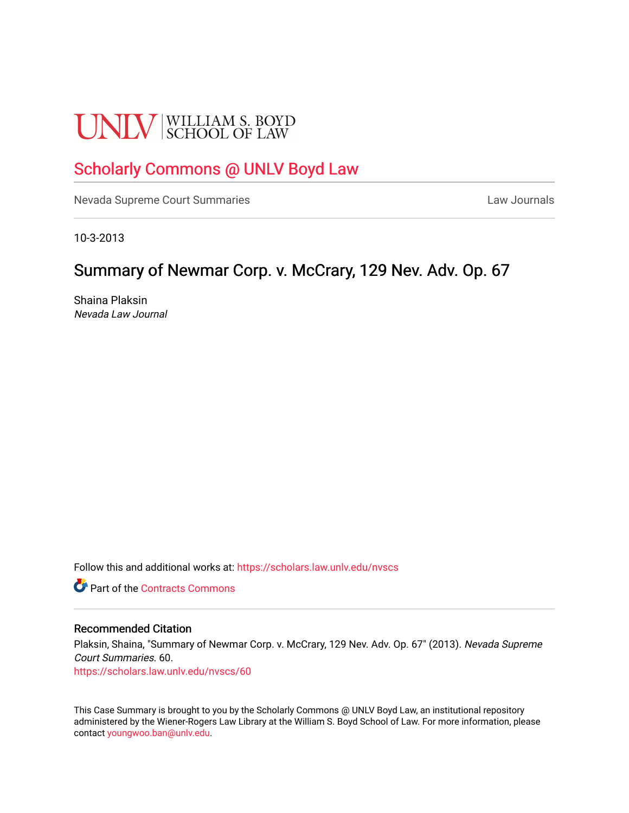# **UNLV** SCHOOL OF LAW

# [Scholarly Commons @ UNLV Boyd Law](https://scholars.law.unlv.edu/)

[Nevada Supreme Court Summaries](https://scholars.law.unlv.edu/nvscs) **Law Journals** Law Journals

10-3-2013

## Summary of Newmar Corp. v. McCrary, 129 Nev. Adv. Op. 67

Shaina Plaksin Nevada Law Journal

Follow this and additional works at: [https://scholars.law.unlv.edu/nvscs](https://scholars.law.unlv.edu/nvscs?utm_source=scholars.law.unlv.edu%2Fnvscs%2F60&utm_medium=PDF&utm_campaign=PDFCoverPages)

**C** Part of the [Contracts Commons](http://network.bepress.com/hgg/discipline/591?utm_source=scholars.law.unlv.edu%2Fnvscs%2F60&utm_medium=PDF&utm_campaign=PDFCoverPages)

#### Recommended Citation

Plaksin, Shaina, "Summary of Newmar Corp. v. McCrary, 129 Nev. Adv. Op. 67" (2013). Nevada Supreme Court Summaries. 60.

[https://scholars.law.unlv.edu/nvscs/60](https://scholars.law.unlv.edu/nvscs/60?utm_source=scholars.law.unlv.edu%2Fnvscs%2F60&utm_medium=PDF&utm_campaign=PDFCoverPages) 

This Case Summary is brought to you by the Scholarly Commons @ UNLV Boyd Law, an institutional repository administered by the Wiener-Rogers Law Library at the William S. Boyd School of Law. For more information, please contact [youngwoo.ban@unlv.edu](mailto:youngwoo.ban@unlv.edu).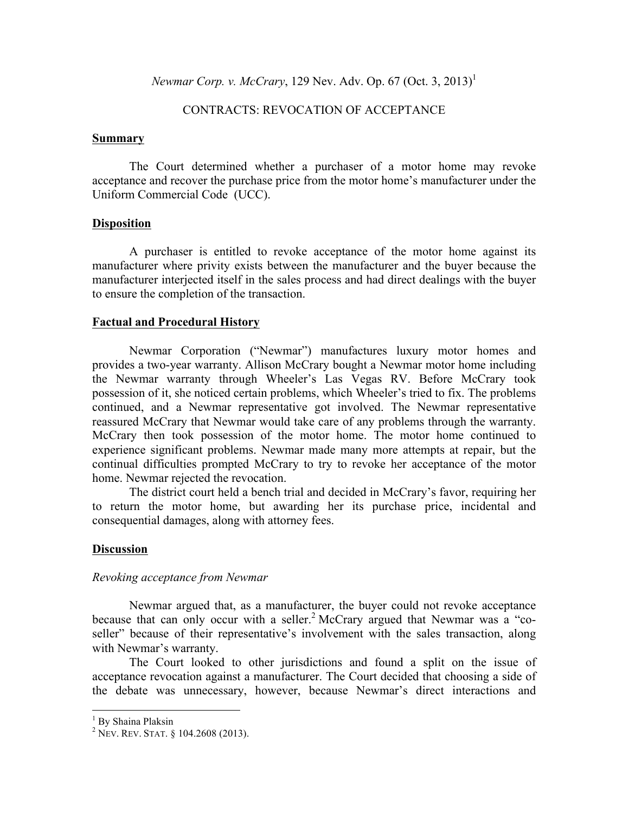*Newmar Corp. v. McCrary*, 129 Nev. Adv. Op. 67 (Oct. 3, 2013)<sup>1</sup>

## CONTRACTS: REVOCATION OF ACCEPTANCE

#### **Summary**

The Court determined whether a purchaser of a motor home may revoke acceptance and recover the purchase price from the motor home's manufacturer under the Uniform Commercial Code (UCC).

#### **Disposition**

A purchaser is entitled to revoke acceptance of the motor home against its manufacturer where privity exists between the manufacturer and the buyer because the manufacturer interjected itself in the sales process and had direct dealings with the buyer to ensure the completion of the transaction.

#### **Factual and Procedural History**

Newmar Corporation ("Newmar") manufactures luxury motor homes and provides a two-year warranty. Allison McCrary bought a Newmar motor home including the Newmar warranty through Wheeler's Las Vegas RV. Before McCrary took possession of it, she noticed certain problems, which Wheeler's tried to fix. The problems continued, and a Newmar representative got involved. The Newmar representative reassured McCrary that Newmar would take care of any problems through the warranty. McCrary then took possession of the motor home. The motor home continued to experience significant problems. Newmar made many more attempts at repair, but the continual difficulties prompted McCrary to try to revoke her acceptance of the motor home. Newmar rejected the revocation.

The district court held a bench trial and decided in McCrary's favor, requiring her to return the motor home, but awarding her its purchase price, incidental and consequential damages, along with attorney fees.

#### **Discussion**

#### *Revoking acceptance from Newmar*

Newmar argued that, as a manufacturer, the buyer could not revoke acceptance because that can only occur with a seller.<sup>2</sup> McCrary argued that Newmar was a "coseller" because of their representative's involvement with the sales transaction, along with Newmar's warranty.

The Court looked to other jurisdictions and found a split on the issue of acceptance revocation against a manufacturer. The Court decided that choosing a side of the debate was unnecessary, however, because Newmar's direct interactions and

<sup>&</sup>lt;sup>1</sup> By Shaina Plaksin

 $2$  Nev. Rev. Stat. § 104.2608 (2013).